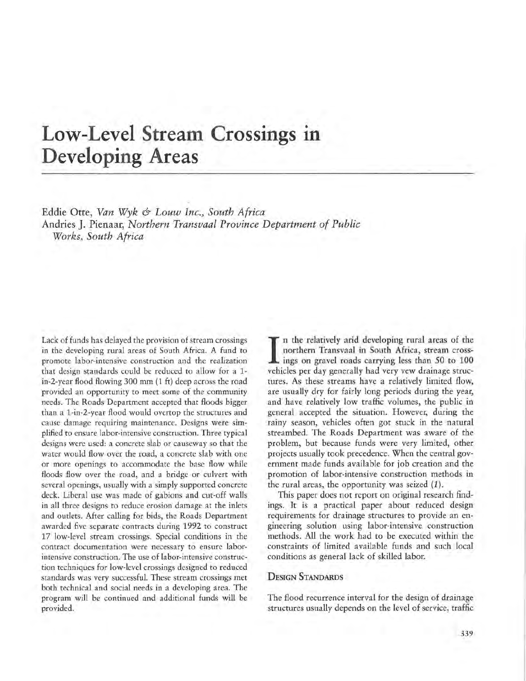# Low-Level Stream Crossings in **Developing Areas**

Eddie Otte, *Van Wyk & Lauw Inc., South Africa*  Andries J. Pienaar, *Northern Transvaal Province Department of Public Works, South Africa* 

Lack of funds has delayed the provision of stream crossings in the developing rural areas of South Africa. A fund to promote labor-intensive construction and the realization that design standards could be reduced to allow for a lin-2-year flood flowing 300 mm (1 ft) deep across the road provided an opportunity to meet some of the community needs. The Roads Department accepted that floods bigger than a l-in-2-year flood would overtop the structures and cause damage requiring maintenance. Designs were simplified to ensure labor-intensive construction. Three typical designs were used: a concrete slab or causeway so that the water would flow over the road, a concrete slab with one or more openings to accommodate the base flow while floods flow over the road, and a bridge or culvert with several openings, usually with a simply supported concrete deck. Liberal use was made of gabions and cut-off walls in all three designs to reduce erosion damage at the inlets and outlets. After calling for bids, the Roads Department awarded five separate contracts during 1992 to construct 17 low-level stream crossings. Special conditions in the contract documentation were necessary to ensure laborintensive construction. The use of labor-intensive construction techniques for low-level crossings designed to reduced standards was very successful. These stream crossings met both technical and social needs in a developing area. The program will be continued and additional funds will be provided.

n the relatively arid developing rural areas of the northern Transvaal in South Africa, stream crossings on gravel roads carrying less than 50 to 100 vehicles per day generally had very vew drainage structures. As these streams have a relatively limited flow, are usually dry for fairly long periods during the year, and have relatively low traffic volumes, the public in general accepted the situation. However, during the rainy season, vehicles often got stuck in the natural streambed. The Roads Department was aware of the problem, but because funds were very limited, other projects usually took precedence. When the central government made funds available for job creation and the promotion of labor-intensive construction methods in the rural areas, the opportunity was seized  $(1)$ .

This paper does not report on original research findings. It is a practical paper about reduced design requirements for drainage structures to provide an engineering solution using labor-intensive construction methods. All the work had to be executed within the constraints of limited available funds and such local conditions as general lack of skilled labor.

### DESIGN STANDARDS

The flood recurrence interval for the design of drainage structures usually depends on the level of service, traffic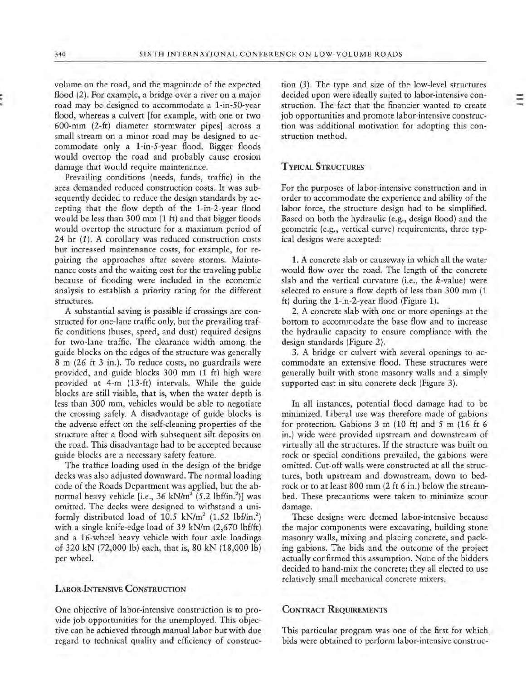volume on the road, and the magnitude of the expected flood (2). For example, a bridge over a river on a major road may be designed to accommodate a 1-in-50-year flood, whereas a culvert [for example, with one or two 600-mm (2-ft) diameter stormwater pipes] across a small stream on a minor road may be designed to accommodate only a 1-in-5-year flood. Bigger floods would overtop the road and probably cause erosion damage that would require maintenance.

Prevailing conditions (needs, funds, traffic) in the area demanded reduced construction costs. It was subsequently decided to reduce the design standards by accepting that the flow depth of the 1-in-2-year flood would be less than 300 mm (1 ft) and that bigger floods **\.Vould overtop the structure for a maximum period of**  24 hr (1). A corollary was reduced construction costs but increased maintenance costs, for example, for repairing the approaches after severe storms. Maintenance costs and the waiting cost for the traveling public because of flooding were included in the economic analysis to establish a priority rating for the different structures.

A substantial saving is possible if crossings are constructed for one-lane traffic only, but the prevailing traffic conditions (buses, speed, and dust) required designs for two-lane traffic. The clearance width among the guide blocks on the edges of the structure was generally 8 m (26 ft 3 in.). To reduce costs, no guardrails were provided, and guide blocks 300 mm (1 ft) high were provided at 4-m (13-ft) intervals. While the guide blocks are still visible, that is, when the water depth is less than 300 mm, vehicles would be able to negotiate the crossing safely. A disadvantage of guide blocks is the adverse effect on the self-cleaning properties of the structure after a flood **with** subsequent silt deposits on the road. This disadvantage had to be accepted because guide blocks are a necessary safety feature.

The traffice loading used in the design of the bridge decks was also adjusted downward. The normal loading code of the Roads Department was applied, but the abnormal heavy vehicle [i.e., 36 kN/m<sup>2</sup> (5.2 lbf/in.<sup>2</sup>)] was omitted. The decks were designed to withstand a uniformly distributed load of 10.5  $kN/m^2$  (1.52 lbf/in.<sup>2</sup>) with a single knife-edge load of 39 kN/m (2,670 lbf/ft) and a 16-wheel heavy vehicle with four axle loadings of 320 kN (72,000 lb) each, that is, 80 kN (18,000 lb) per wheel.

#### LABOR-INTENSIVE CONSTRUCTION

One objective of labor-intensive construction is to provide job opportunities for the unemployed. This objective can be achieved through manual labor but with due regard to technical quality and efficiency of construetion (3). The type and size of the low-level structures decided upon were ideally suited to labor-intensive construction. The fact that the financier wanted to create job opportunities and promote labor-intensive construction was additional motivation for adopting this construction method.

## TYPICAL STRUCTURES

For the purposes of labor-intensive construction and in order to accommodate the experience and ability of the labor force, the structure design had to be simplified. Based on both the hydraulic (e.g., design flood) and the **geometric (e.g., vertical curve) requirements, three typ**ical designs were accepted:

1. A concrete slab or causeway in which all the water would flow over the road. The length of the concrete slab and the vertical curvature (i.e., the k-value) were selected to ensure a flow depth of less than 300 mm (1 ft) during the 1-in-2-year flood (Figure 1).

2. A concrete slab with one or more openings at the bottom to accommodate the base flow and to increase the hydraulic capacity to ensure compliance with the design standards (Figure 2).

3. A bridge or culvert with several openings to accommodate an extensive flood. These structures were generally built with stone masonry walls and a simply supported cast in situ concrete deck (Figure 3).

In all instances, potential flood damage had to be minimized. Liberal use was therefore made of gabions for protection. Gabions 3 m (10 ft) and 5 m (16 ft 6 in.) wide were provided upstream and downstream of virtually all the structures. If the structure was built on rock or special conditions prevailed, the gabions were omitted. Cut-off walls were constructed at all the structures, both upstream and downstream, down to bedrock or to at least 800 mm (2 ft 6 in.) below the streambed. These precautions were taken to minimize scour damage.

These designs were deemed labor-intensive because the major components were excavating, building stone masonry walls, mixing and placing concrete, and packing gabions. The bids and the outcome of the project actually confirmed this assumption. None of the bidders decided to hand-mix the concrete; they all elected to use relatively small mechanical concrete mixers.

#### CONTRACT REQUIREMENTS

This particular program was one of the first for which bids were obtained to perform labor-intensive construe-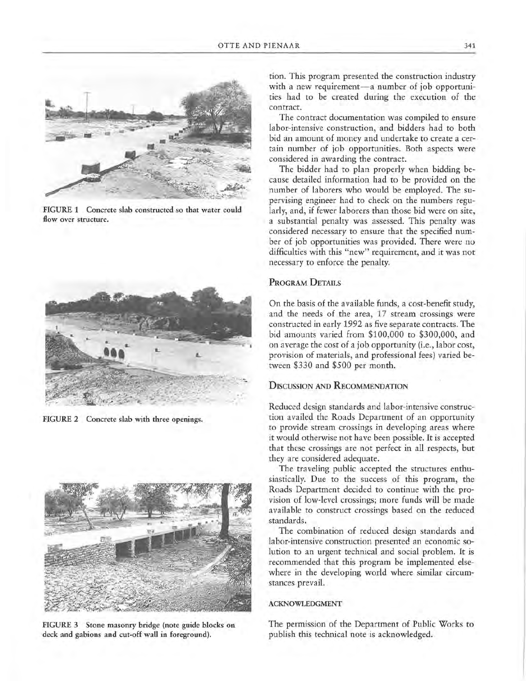

**FIGURE 1 Concrete slab constructed so that water could flow over structure.** 



**FIGURE 2 Concrete slab with three openings.** 



**FIGURE 3 Stone masonry bridge (note guide blocks on deck and gabions and cut-off wall in foreground).** 

tion. This program presented the construction industry with a new requirement-a number of job opportunities had to be created during the execution of the contract.

The contract documentation was compiled to ensure labor-intensive construction, and bidders had to both bid an amount of money and undertake to create a certain number of job opportunities. Both aspects were considered in awarding the contract.

The bidder had to plan properly when bidding because detailed information had to be provided on the number of laborers who would be employed. The supervising engineer had to check on the numbers regularly, and, if fewer laborers than those bid were on site, a substantial penalty was assessed. This penalty was considered necessary to ensure that the specified number of job opportunities was provided. There were no difficulties with this "new" requirement, and it was not necessary to enforce the penalty.

## PROGRAM DETAILS

On the basis of the available funds, a cost-benefit study, and the needs of the area, 17 stream crossings were constructed in early 1992 as five separate contracts. The bid amounts varied from \$100,000 to \$300,000, and on average the cost of a job opportunity (i.e., labor cost, provision of materials, and professional fees) varied between \$330 and \$500 per month.

## **D1scUSSION AND RECOMMENDATION**

Reduced design standards and labor-intensive construction availed the Roads Department of an opportunity to provide stream crossings in developing areas where it would otherwise not have been possible. It is accepted that these crossings are not perfect in all respects, but they are considered adequate.

The traveling public accepted the structures enthusiastically. Due to the success of this program, the Roads Department decided to continue with the provision of low-level crossings; more funds will be made available to construct crossings based on the reduced standards.

The combination of reduced design standards and labor-intensive construction presented an economic solution to an urgent technical and social problem. It is recommended that this program be implemented elsewhere in the developing world where similar circumstances prevail.

#### **ACKNOWLEDGMENT**

The permission of the Department of Public Works to publish this technical note is acknowledged.